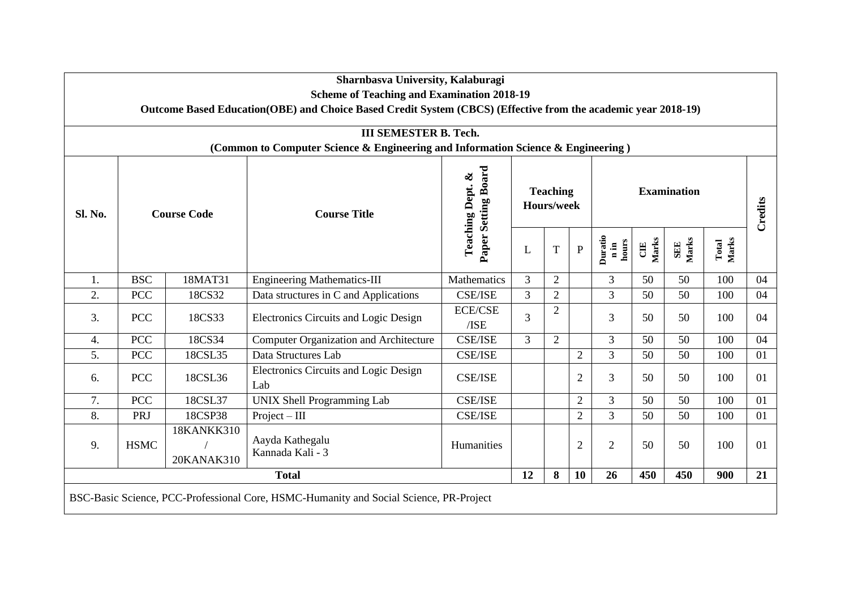|                                                                                                                  | Sharnbasva University, Kalaburagi<br><b>Scheme of Teaching and Examination 2018-19</b>            |         |                                              |                                         |                               |                |                |                                     |             |                     |                |         |
|------------------------------------------------------------------------------------------------------------------|---------------------------------------------------------------------------------------------------|---------|----------------------------------------------|-----------------------------------------|-------------------------------|----------------|----------------|-------------------------------------|-------------|---------------------|----------------|---------|
| Outcome Based Education(OBE) and Choice Based Credit System (CBCS) (Effective from the academic year 2018-19)    |                                                                                                   |         |                                              |                                         |                               |                |                |                                     |             |                     |                |         |
| <b>III SEMESTER B. Tech.</b><br>(Common to Computer Science & Engineering and Information Science & Engineering) |                                                                                                   |         |                                              |                                         |                               |                |                |                                     |             |                     |                |         |
| Sl. No.                                                                                                          | <b>Course Code</b>                                                                                |         | <b>Course Title</b>                          | Paper Setting Board<br>Teaching Dept. & | <b>Teaching</b><br>Hours/week |                |                | <b>Examination</b>                  |             |                     |                | Credits |
|                                                                                                                  |                                                                                                   |         |                                              |                                         | L                             | T              | ${\bf P}$      | Duratio<br>hours<br>$\mathbf{n}$ in | Marks<br>UE | Marks<br><b>SEE</b> | Marks<br>Total |         |
| 1.                                                                                                               | <b>BSC</b>                                                                                        | 18MAT31 | <b>Engineering Mathematics-III</b>           | Mathematics                             | $\overline{3}$                | $\overline{2}$ |                | 3                                   | 50          | 50                  | 100            | 04      |
| 2.                                                                                                               | <b>PCC</b>                                                                                        | 18CS32  | Data structures in C and Applications        | <b>CSE/ISE</b>                          | $\overline{3}$                | $\overline{2}$ |                | $\overline{3}$                      | 50          | 50                  | 100            | 04      |
| 3.                                                                                                               | <b>PCC</b>                                                                                        | 18CS33  | Electronics Circuits and Logic Design        | <b>ECE/CSE</b><br>/ISE                  | 3                             | $\overline{2}$ |                | 3                                   | 50          | 50                  | 100            | 04      |
| 4.                                                                                                               | <b>PCC</b>                                                                                        | 18CS34  | Computer Organization and Architecture       | <b>CSE/ISE</b>                          | 3                             | $\overline{2}$ |                | 3                                   | 50          | 50                  | 100            | 04      |
| 5.                                                                                                               | <b>PCC</b>                                                                                        | 18CSL35 | Data Structures Lab                          | <b>CSE/ISE</b>                          |                               |                | $\overline{2}$ | $\overline{3}$                      | 50          | 50                  | 100            | 01      |
| 6.                                                                                                               | <b>PCC</b>                                                                                        | 18CSL36 | Electronics Circuits and Logic Design<br>Lab | <b>CSE/ISE</b>                          |                               |                | $\overline{2}$ | 3                                   | 50          | 50                  | 100            | 01      |
| 7.                                                                                                               | <b>PCC</b>                                                                                        | 18CSL37 | UNIX Shell Programming Lab                   | <b>CSE/ISE</b>                          |                               |                | $\overline{2}$ | $\overline{3}$                      | 50          | 50                  | 100            | 01      |
| 8.                                                                                                               | PRJ                                                                                               | 18CSP38 | $Project - III$                              | <b>CSE/ISE</b>                          |                               |                | $\overline{2}$ | $\overline{3}$                      | 50          | 50                  | 100            | 01      |
| 9.                                                                                                               | 18KANKK310<br>Aayda Kathegalu<br><b>HSMC</b><br>Kannada Kali - 3<br>20KANAK310                    |         | Humanities                                   |                                         |                               | $\overline{2}$ | $\overline{2}$ | 50                                  | 50          | 100                 | 01             |         |
|                                                                                                                  | <b>Total</b>                                                                                      |         |                                              |                                         |                               |                | 10             | 26                                  | 450         | 450                 | 900            | 21      |
|                                                                                                                  | 8<br>12<br>BSC-Basic Science, PCC-Professional Core, HSMC-Humanity and Social Science, PR-Project |         |                                              |                                         |                               |                |                |                                     |             |                     |                |         |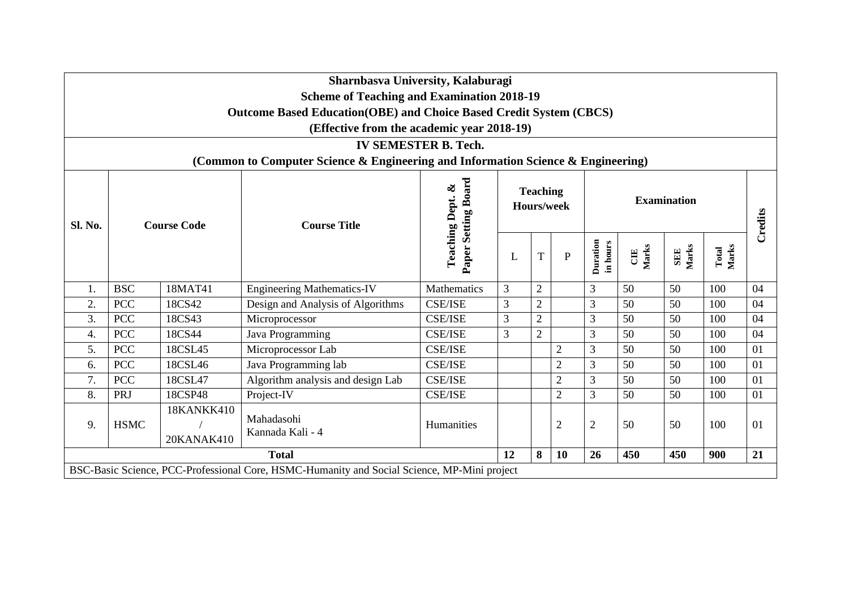|                                                                                  |             |                                 | Sharnbasva University, Kalaburagi                                                           |                                         |    |                 |                |                             |             |                     |                |                |
|----------------------------------------------------------------------------------|-------------|---------------------------------|---------------------------------------------------------------------------------------------|-----------------------------------------|----|-----------------|----------------|-----------------------------|-------------|---------------------|----------------|----------------|
| <b>Scheme of Teaching and Examination 2018-19</b>                                |             |                                 |                                                                                             |                                         |    |                 |                |                             |             |                     |                |                |
| <b>Outcome Based Education (OBE) and Choice Based Credit System (CBCS)</b>       |             |                                 |                                                                                             |                                         |    |                 |                |                             |             |                     |                |                |
| (Effective from the academic year 2018-19)                                       |             |                                 |                                                                                             |                                         |    |                 |                |                             |             |                     |                |                |
| <b>IV SEMESTER B. Tech.</b>                                                      |             |                                 |                                                                                             |                                         |    |                 |                |                             |             |                     |                |                |
| (Common to Computer Science & Engineering and Information Science & Engineering) |             |                                 |                                                                                             |                                         |    |                 |                |                             |             |                     |                |                |
| Sl. No.                                                                          |             | <b>Course Code</b>              | <b>Course Title</b>                                                                         | Paper Setting Board<br>Teaching Dept. & |    | <b>Teaching</b> | Hours/week     | <b>Examination</b>          |             |                     |                | <b>Credits</b> |
|                                                                                  |             |                                 |                                                                                             |                                         | L  | T               | ${\bf P}$      | <b>Duration</b><br>in hours | Marks<br>UE | Marks<br><b>SEE</b> | Marks<br>Total |                |
| 1.                                                                               | <b>BSC</b>  | 18MAT41                         | <b>Engineering Mathematics-IV</b>                                                           | Mathematics                             | 3  | $\overline{2}$  |                | 3                           | 50          | 50                  | 100            | 04             |
| 2.                                                                               | <b>PCC</b>  | 18CS42                          | Design and Analysis of Algorithms                                                           | <b>CSE/ISE</b>                          | 3  | $\sqrt{2}$      |                | 3                           | 50          | 50                  | 100            | 04             |
| 3.                                                                               | <b>PCC</b>  | 18CS43                          | Microprocessor                                                                              | <b>CSE/ISE</b>                          | 3  | $\overline{2}$  |                | 3                           | 50          | 50                  | 100            | 04             |
| 4.                                                                               | <b>PCC</b>  | 18CS44                          | Java Programming                                                                            | <b>CSE/ISE</b>                          | 3  | $\overline{2}$  |                | 3                           | 50          | 50                  | 100            | 04             |
| 5.                                                                               | <b>PCC</b>  | 18CSL45                         | Microprocessor Lab                                                                          | <b>CSE/ISE</b>                          |    |                 | $\overline{2}$ | 3                           | 50          | 50                  | 100            | 01             |
| 6.                                                                               | <b>PCC</b>  | 18CSL46                         | Java Programming lab                                                                        | <b>CSE/ISE</b>                          |    |                 | $\overline{2}$ | $\overline{3}$              | 50          | 50                  | 100            | 01             |
| 7.                                                                               | <b>PCC</b>  | 18CSL47                         | Algorithm analysis and design Lab                                                           | <b>CSE/ISE</b>                          |    |                 | $\overline{2}$ | 3                           | 50          | 50                  | 100            | 01             |
| 8.                                                                               | PRJ         | 18CSP48                         | Project-IV                                                                                  | <b>CSE/ISE</b>                          |    |                 | $\overline{2}$ | 3                           | 50          | 50                  | 100            | 01             |
| 9.                                                                               | <b>HSMC</b> | <b>18KANKK410</b><br>20KANAK410 | Mahadasohi<br>Kannada Kali - 4                                                              | Humanities                              |    |                 | $\overline{2}$ | $\overline{2}$              | 50          | 50                  | 100            | 01             |
|                                                                                  |             |                                 | <b>Total</b>                                                                                |                                         | 12 | 8               | 10             | 26                          | 450         | 450                 | 900            | 21             |
|                                                                                  |             |                                 | BSC-Basic Science, PCC-Professional Core, HSMC-Humanity and Social Science, MP-Mini project |                                         |    |                 |                |                             |             |                     |                |                |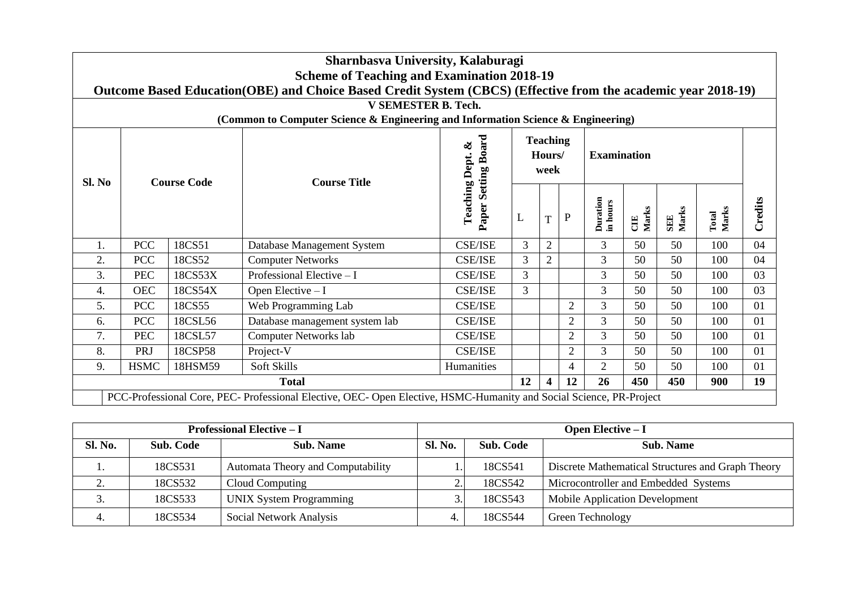|                                                                                  | Sharnbasva University, Kalaburagi<br><b>Scheme of Teaching and Examination 2018-19</b><br>Outcome Based Education (OBE) and Choice Based Credit System (CBCS) (Effective from the academic year 2018-19) |         |                                                                                                                   |                          |                |                                   |                |                      |             |                     |                |         |
|----------------------------------------------------------------------------------|----------------------------------------------------------------------------------------------------------------------------------------------------------------------------------------------------------|---------|-------------------------------------------------------------------------------------------------------------------|--------------------------|----------------|-----------------------------------|----------------|----------------------|-------------|---------------------|----------------|---------|
| <b>V SEMESTER B. Tech.</b>                                                       |                                                                                                                                                                                                          |         |                                                                                                                   |                          |                |                                   |                |                      |             |                     |                |         |
| (Common to Computer Science & Engineering and Information Science & Engineering) |                                                                                                                                                                                                          |         |                                                                                                                   |                          |                |                                   |                |                      |             |                     |                |         |
| Sl. No                                                                           | <b>Course Code</b>                                                                                                                                                                                       |         | <b>Course Title</b>                                                                                               | Paper Setting Board<br>ళ |                | <b>Teaching</b><br>Hours/<br>week |                | <b>Examination</b>   |             |                     |                |         |
|                                                                                  |                                                                                                                                                                                                          |         |                                                                                                                   | <b>Teaching Dept.</b>    | L              | T                                 | ${\bf P}$      | Duration<br>in hours | Marks<br>UE | Marks<br><b>SEE</b> | Marks<br>Total | Credits |
| 1.                                                                               | <b>PCC</b>                                                                                                                                                                                               | 18CS51  | Database Management System                                                                                        | <b>CSE/ISE</b>           | 3              | $\overline{2}$                    |                | 3                    | 50          | 50                  | 100            | 04      |
| 2.                                                                               | <b>PCC</b>                                                                                                                                                                                               | 18CS52  | <b>Computer Networks</b>                                                                                          | <b>CSE/ISE</b>           | $\overline{3}$ | $\overline{2}$                    |                | 3                    | 50          | 50                  | 100            | 04      |
| 3.                                                                               | <b>PEC</b>                                                                                                                                                                                               | 18CS53X | Professional Elective $-I$                                                                                        | <b>CSE/ISE</b>           | 3              |                                   |                | 3                    | 50          | 50                  | 100            | 03      |
| 4.                                                                               | <b>OEC</b>                                                                                                                                                                                               | 18CS54X | Open Elective $-I$                                                                                                | <b>CSE/ISE</b>           | $\overline{3}$ |                                   |                | 3                    | 50          | 50                  | 100            | 03      |
| 5.                                                                               | <b>PCC</b>                                                                                                                                                                                               | 18CS55  | Web Programming Lab                                                                                               | <b>CSE/ISE</b>           |                |                                   | $\overline{2}$ | 3                    | 50          | 50                  | 100            | 01      |
| 6.                                                                               | <b>PCC</b>                                                                                                                                                                                               | 18CSL56 | Database management system lab                                                                                    | <b>CSE/ISE</b>           |                |                                   | $\overline{2}$ | 3                    | 50          | 50                  | 100            | 01      |
| 7.                                                                               | <b>PEC</b>                                                                                                                                                                                               | 18CSL57 | <b>Computer Networks lab</b>                                                                                      | <b>CSE/ISE</b>           |                |                                   | $\overline{2}$ | 3                    | 50          | 50                  | 100            | 01      |
| 8.                                                                               | PRJ                                                                                                                                                                                                      | 18CSP58 | Project-V                                                                                                         | <b>CSE/ISE</b>           |                |                                   | $\overline{2}$ | 3                    | 50          | 50                  | 100            | 01      |
| 9.                                                                               | <b>HSMC</b>                                                                                                                                                                                              | 18HSM59 | Soft Skills                                                                                                       | Humanities               |                |                                   | 4              | $\overline{2}$       | 50          | 50                  | 100            | 01      |
|                                                                                  | <b>Total</b>                                                                                                                                                                                             |         |                                                                                                                   |                          |                |                                   | 12             | 26                   | 450         | 450                 | 900            | 19      |
|                                                                                  |                                                                                                                                                                                                          |         | PCC-Professional Core, PEC-Professional Elective, OEC-Open Elective, HSMC-Humanity and Social Science, PR-Project |                          |                |                                   |                |                      |             |                     |                |         |

|                |           | <b>Professional Elective – I</b>  | <b>Open Elective – I</b> |           |                                                   |  |  |  |  |  |
|----------------|-----------|-----------------------------------|--------------------------|-----------|---------------------------------------------------|--|--|--|--|--|
| <b>Sl. No.</b> | Sub. Code | <b>Sub. Name</b>                  | <b>Sl. No.</b>           | Sub. Code | <b>Sub. Name</b>                                  |  |  |  |  |  |
|                | 18CS531   | Automata Theory and Computability |                          | 18CS541   | Discrete Mathematical Structures and Graph Theory |  |  |  |  |  |
| ٠.             | 18CS532   | Cloud Computing                   |                          | 18CS542   | Microcontroller and Embedded Systems              |  |  |  |  |  |
|                | 18CS533   | <b>UNIX System Programming</b>    |                          | 18CS543   | <b>Mobile Application Development</b>             |  |  |  |  |  |
|                | 18CS534   | Social Network Analysis           | 4.                       | 18CS544   | Green Technology                                  |  |  |  |  |  |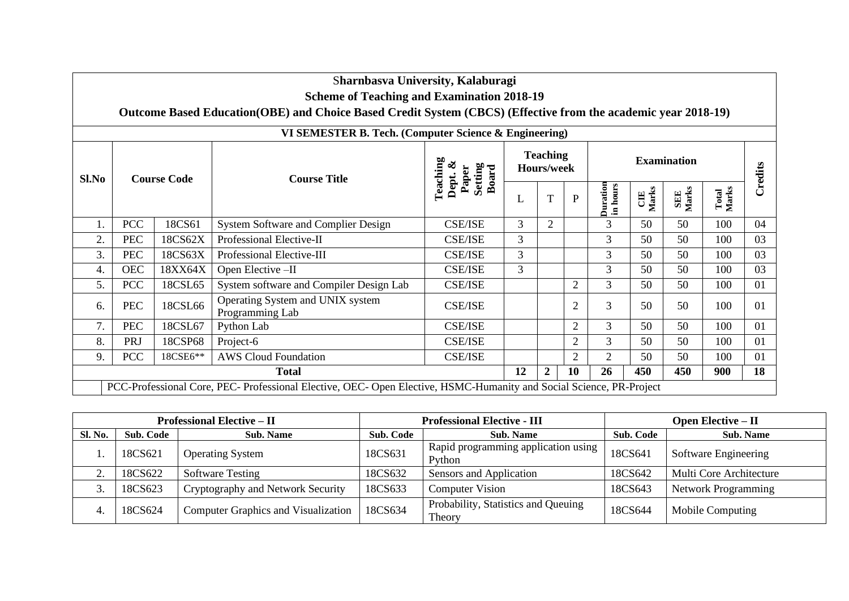|              |                                                                                                                         |          | Sharnbasva University, Kalaburagi                   |                                                  |              |                                      |                |                |                |         |     |    |  |  |
|--------------|-------------------------------------------------------------------------------------------------------------------------|----------|-----------------------------------------------------|--------------------------------------------------|--------------|--------------------------------------|----------------|----------------|----------------|---------|-----|----|--|--|
|              | <b>Scheme of Teaching and Examination 2018-19</b>                                                                       |          |                                                     |                                                  |              |                                      |                |                |                |         |     |    |  |  |
|              | Outcome Based Education (OBE) and Choice Based Credit System (CBCS) (Effective from the academic year 2018-19)          |          |                                                     |                                                  |              |                                      |                |                |                |         |     |    |  |  |
|              | VI SEMESTER B. Tech. (Computer Science & Engineering)                                                                   |          |                                                     |                                                  |              |                                      |                |                |                |         |     |    |  |  |
| Sl.No        | <b>Course Code</b>                                                                                                      |          | <b>Course Title</b>                                 | Teaching<br>Dept. &<br>Setting<br>Board<br>Paper |              | <b>Teaching</b><br><b>Hours/week</b> |                |                |                | Credits |     |    |  |  |
|              |                                                                                                                         |          | L                                                   | T                                                | $\mathbf{P}$ | Duration<br>in hours                 | CIE<br>Marks   | SEE<br>Marks   | Total<br>Marks |         |     |    |  |  |
| 1.           | <b>PCC</b>                                                                                                              | 18CS61   | System Software and Complier Design                 | <b>CSE/ISE</b>                                   | 3            | 2                                    |                | $\overline{3}$ | 50             | 50      | 100 | 04 |  |  |
| 2.           | <b>PEC</b>                                                                                                              | 18CS62X  | Professional Elective-II                            | <b>CSE/ISE</b>                                   | 3            |                                      |                | 3              | 50             | 50      | 100 | 03 |  |  |
| 3.           | <b>PEC</b>                                                                                                              | 18CS63X  | Professional Elective-III                           | <b>CSE/ISE</b>                                   | 3            |                                      |                | 3              | 50             | 50      | 100 | 03 |  |  |
| 4.           | <b>OEC</b>                                                                                                              | 18XX64X  | Open Elective -II                                   | <b>CSE/ISE</b>                                   | 3            |                                      |                | 3              | 50             | 50      | 100 | 03 |  |  |
| 5.           | <b>PCC</b>                                                                                                              | 18CSL65  | System software and Compiler Design Lab             | <b>CSE/ISE</b>                                   |              |                                      | $\overline{2}$ | 3              | 50             | 50      | 100 | 01 |  |  |
| 6.           | <b>PEC</b>                                                                                                              | 18CSL66  | Operating System and UNIX system<br>Programming Lab | <b>CSE/ISE</b>                                   |              |                                      | $\overline{2}$ | 3              | 50             | 50      | 100 | 01 |  |  |
| 7.           | <b>PEC</b>                                                                                                              | 18CSL67  | Python Lab                                          | <b>CSE/ISE</b>                                   |              |                                      | $\overline{2}$ | 3              | 50             | 50      | 100 | 01 |  |  |
| 8.           | PRJ                                                                                                                     | 18CSP68  | Project-6                                           | <b>CSE/ISE</b>                                   |              |                                      | $\overline{2}$ | 3              | 50             | 50      | 100 | 01 |  |  |
| 9.           | <b>PCC</b>                                                                                                              | 18CSE6** | <b>AWS Cloud Foundation</b>                         | <b>CSE/ISE</b>                                   |              |                                      | $\overline{2}$ | $\overline{2}$ | 50             | 50      | 100 | 01 |  |  |
| <b>Total</b> |                                                                                                                         |          |                                                     |                                                  |              | $\overline{2}$                       | <b>10</b>      | 26             | 450            | 450     | 900 | 18 |  |  |
|              | 12<br>PCC-Professional Core, PEC-Professional Elective, OEC-Open Elective, HSMC-Humanity and Social Science, PR-Project |          |                                                     |                                                  |              |                                      |                |                |                |         |     |    |  |  |

ा

| <b>Professional Elective – II</b> |           |                                            |                  | <b>Professional Elective - III</b>            | <b>Open Elective – <math>\Pi</math></b> |                            |  |  |  |
|-----------------------------------|-----------|--------------------------------------------|------------------|-----------------------------------------------|-----------------------------------------|----------------------------|--|--|--|
| Sl. No.                           | Sub. Code | <b>Sub. Name</b>                           | <b>Sub. Code</b> | Sub. Code<br><b>Sub. Name</b>                 |                                         | <b>Sub. Name</b>           |  |  |  |
|                                   | 18CS621   | <b>Operating System</b>                    | 18CS631          | Rapid programming application using<br>Python | 18CS641                                 | Software Engineering       |  |  |  |
|                                   | 18CS622   | <b>Software Testing</b>                    | 18CS632          | Sensors and Application                       | 18CS642                                 | Multi Core Architecture    |  |  |  |
|                                   | 18CS623   | Cryptography and Network Security          | 18CS633          | <b>Computer Vision</b>                        | 18CS643                                 | <b>Network Programming</b> |  |  |  |
| -4.                               | 18CS624   | <b>Computer Graphics and Visualization</b> | 18CS634          | Probability, Statistics and Queuing<br>Theory | 18CS644                                 | Mobile Computing           |  |  |  |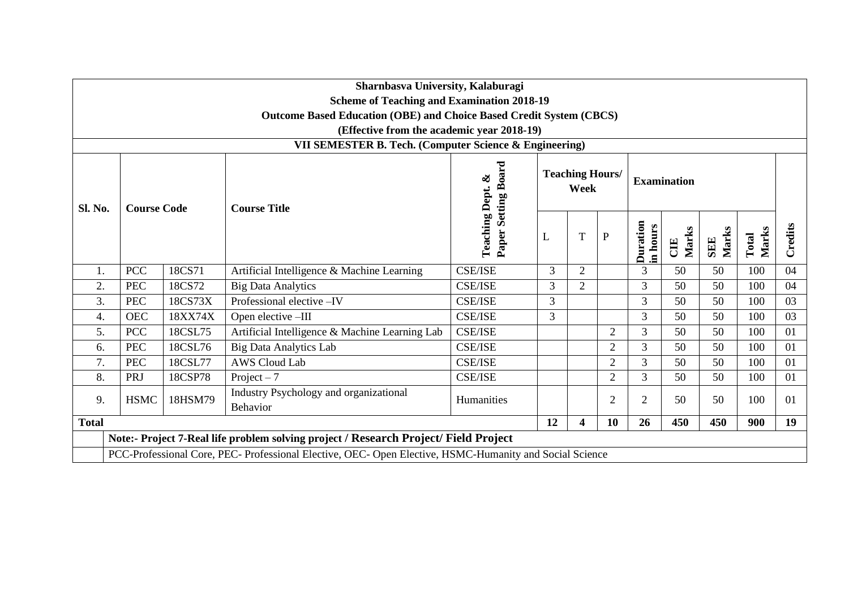|                                                        |                                                   |         | Sharnbasva University, Kalaburagi                                                                       |                            |                                |                |                |                      |              |                     |                |         |
|--------------------------------------------------------|---------------------------------------------------|---------|---------------------------------------------------------------------------------------------------------|----------------------------|--------------------------------|----------------|----------------|----------------------|--------------|---------------------|----------------|---------|
|                                                        | <b>Scheme of Teaching and Examination 2018-19</b> |         |                                                                                                         |                            |                                |                |                |                      |              |                     |                |         |
|                                                        |                                                   |         | <b>Outcome Based Education (OBE) and Choice Based Credit System (CBCS)</b>                              |                            |                                |                |                |                      |              |                     |                |         |
| (Effective from the academic year 2018-19)             |                                                   |         |                                                                                                         |                            |                                |                |                |                      |              |                     |                |         |
| VII SEMESTER B. Tech. (Computer Science & Engineering) |                                                   |         |                                                                                                         |                            |                                |                |                |                      |              |                     |                |         |
| Sl. No.                                                | <b>Course Code</b>                                |         | <b>Course Title</b>                                                                                     | <b>Paper Setting Board</b> | <b>Teaching Hours/</b><br>Week |                |                | <b>Examination</b>   |              |                     |                |         |
|                                                        |                                                   |         |                                                                                                         | Teaching Dept. &           | L                              | T              | $\, {\bf P}$   | Duration<br>in hours | Marks<br>CIE | Marks<br><b>SEE</b> | Marks<br>Total | Credits |
| 1.                                                     | <b>PCC</b>                                        | 18CS71  | Artificial Intelligence & Machine Learning                                                              | <b>CSE/ISE</b>             | 3                              | $\overline{2}$ |                | $\overline{3}$       | 50           | 50                  | 100            | 04      |
| 2.                                                     | <b>PEC</b>                                        | 18CS72  | <b>Big Data Analytics</b>                                                                               | <b>CSE/ISE</b>             | 3                              | $\overline{2}$ |                | 3                    | 50           | 50                  | 100            | 04      |
| 3.                                                     | <b>PEC</b>                                        | 18CS73X | Professional elective -IV                                                                               | <b>CSE/ISE</b>             | 3                              |                |                | 3                    | 50           | 50                  | 100            | 03      |
| 4.                                                     | <b>OEC</b>                                        | 18XX74X | Open elective -III                                                                                      | <b>CSE/ISE</b>             | 3                              |                |                | 3                    | 50           | 50                  | 100            | 03      |
| 5.                                                     | <b>PCC</b>                                        | 18CSL75 | Artificial Intelligence & Machine Learning Lab                                                          | <b>CSE/ISE</b>             |                                |                | $\overline{2}$ | 3                    | 50           | 50                  | 100            | 01      |
| 6.                                                     | <b>PEC</b>                                        | 18CSL76 | <b>Big Data Analytics Lab</b>                                                                           | <b>CSE/ISE</b>             |                                |                | $\overline{2}$ | 3                    | 50           | 50                  | 100            | 01      |
| 7.                                                     | <b>PEC</b>                                        | 18CSL77 | <b>AWS Cloud Lab</b>                                                                                    | <b>CSE/ISE</b>             |                                |                | $\overline{2}$ | 3                    | 50           | 50                  | 100            | 01      |
| 8.                                                     | PRJ                                               | 18CSP78 | Project $-7$                                                                                            | <b>CSE/ISE</b>             |                                |                | $\overline{2}$ | $\overline{3}$       | 50           | 50                  | 100            | 01      |
| 9.                                                     | <b>HSMC</b>                                       | 18HSM79 | Industry Psychology and organizational<br>Behavior                                                      | Humanities                 |                                |                | $\overline{2}$ | $\overline{2}$       | 50           | 50                  | 100            | 01      |
| <b>Total</b>                                           |                                                   |         |                                                                                                         |                            |                                | 4              | 10             | 26                   | 450          | 450                 | 900            | 19      |
|                                                        |                                                   |         | Note:- Project 7-Real life problem solving project / Research Project/ Field Project                    |                            |                                |                |                |                      |              |                     |                |         |
|                                                        |                                                   |         | PCC-Professional Core, PEC- Professional Elective, OEC- Open Elective, HSMC-Humanity and Social Science |                            |                                |                |                |                      |              |                     |                |         |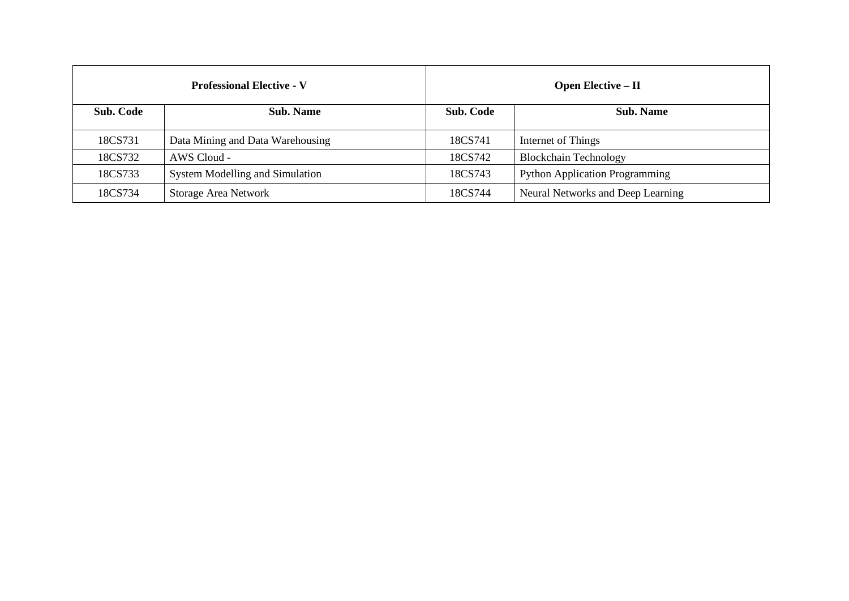|           | <b>Professional Elective - V</b>       |                  | <b>Open Elective – II</b>             |
|-----------|----------------------------------------|------------------|---------------------------------------|
| Sub. Code | <b>Sub. Name</b>                       | <b>Sub. Code</b> | <b>Sub. Name</b>                      |
| 18CS731   | Data Mining and Data Warehousing       | 18CS741          | Internet of Things                    |
| 18CS732   | AWS Cloud -                            | 18CS742          | <b>Blockchain Technology</b>          |
| 18CS733   | <b>System Modelling and Simulation</b> | 18CS743          | <b>Python Application Programming</b> |
| 18CS734   | <b>Storage Area Network</b>            | 18CS744          | Neural Networks and Deep Learning     |